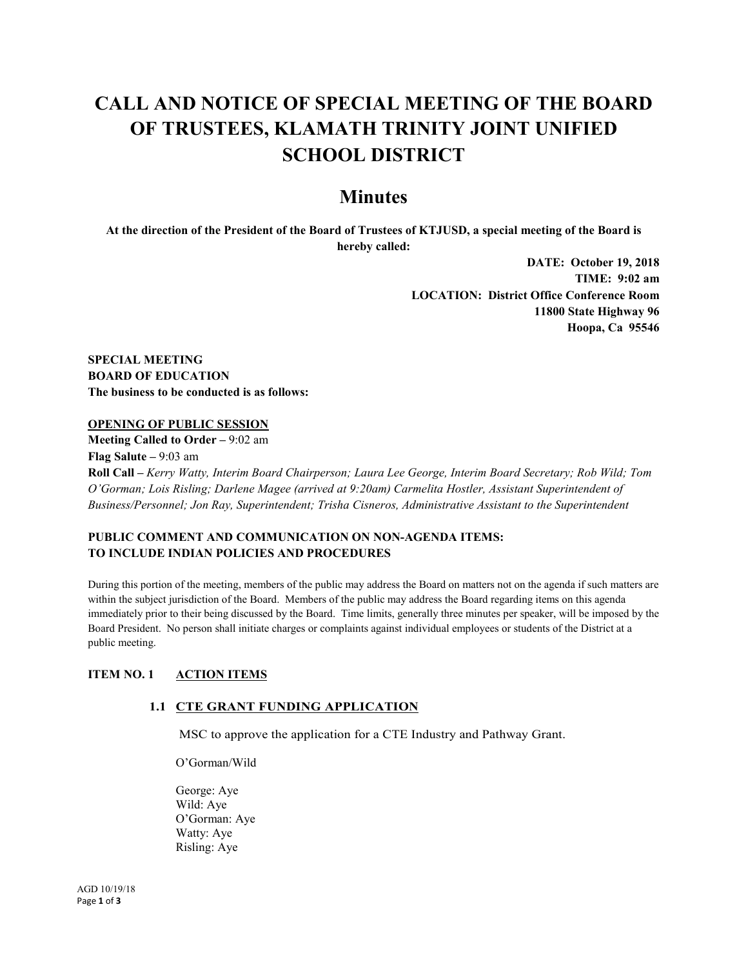# **CALL AND NOTICE OF SPECIAL MEETING OF THE BOARD OF TRUSTEES, KLAMATH TRINITY JOINT UNIFIED SCHOOL DISTRICT**

# **Minutes**

**At the direction of the President of the Board of Trustees of KTJUSD, a special meeting of the Board is hereby called:**

> **DATE: October 19, 2018 TIME: 9:02 am LOCATION: District Office Conference Room 11800 State Highway 96 Hoopa, Ca 95546**

**SPECIAL MEETING BOARD OF EDUCATION The business to be conducted is as follows:**

### **OPENING OF PUBLIC SESSION**

**Meeting Called to Order –** 9:02 am **Flag Salute –** 9:03 am **Roll Call –** *Kerry Watty, Interim Board Chairperson; Laura Lee George, Interim Board Secretary; Rob Wild; Tom O'Gorman; Lois Risling; Darlene Magee (arrived at 9:20am) Carmelita Hostler, Assistant Superintendent of Business/Personnel; Jon Ray, Superintendent; Trisha Cisneros, Administrative Assistant to the Superintendent*

# **PUBLIC COMMENT AND COMMUNICATION ON NON-AGENDA ITEMS: TO INCLUDE INDIAN POLICIES AND PROCEDURES**

During this portion of the meeting, members of the public may address the Board on matters not on the agenda if such matters are within the subject jurisdiction of the Board. Members of the public may address the Board regarding items on this agenda immediately prior to their being discussed by the Board. Time limits, generally three minutes per speaker, will be imposed by the Board President. No person shall initiate charges or complaints against individual employees or students of the District at a public meeting.

### **ITEM NO. 1 ACTION ITEMS**

### **1.1 CTE GRANT FUNDING APPLICATION**

MSC to approve the application for a CTE Industry and Pathway Grant.

O'Gorman/Wild

George: Aye Wild: Aye O'Gorman: Aye Watty: Aye Risling: Aye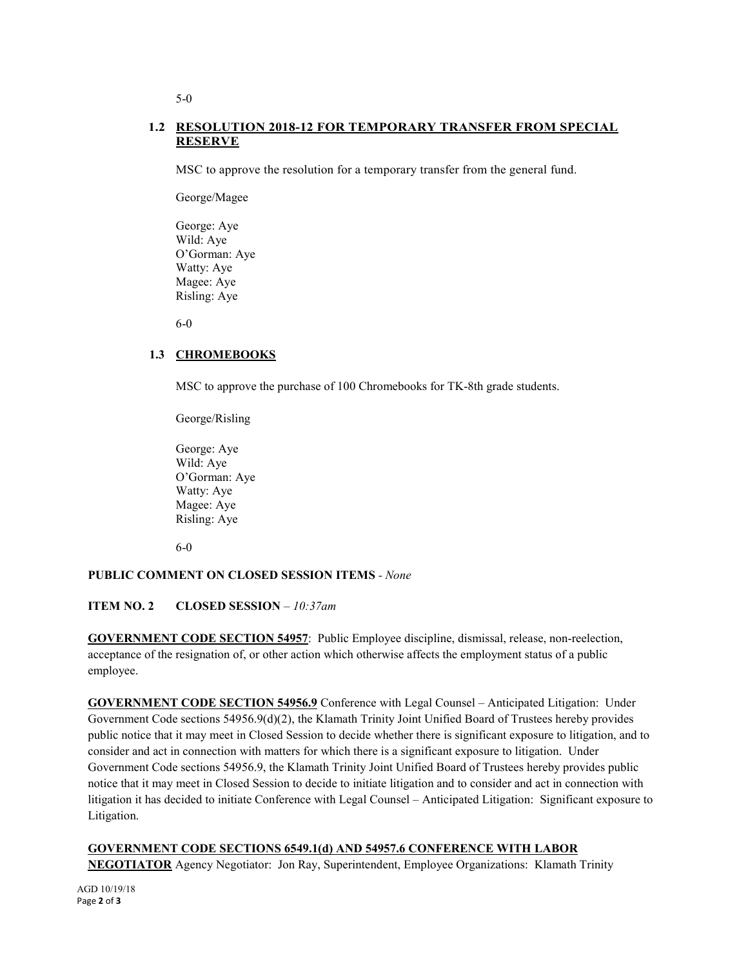# **1.2 RESOLUTION 2018-12 FOR TEMPORARY TRANSFER FROM SPECIAL RESERVE**

MSC to approve the resolution for a temporary transfer from the general fund.

George/Magee

George: Aye Wild: Aye O'Gorman: Aye Watty: Aye Magee: Aye Risling: Aye

6-0

# **1.3 CHROMEBOOKS**

MSC to approve the purchase of 100 Chromebooks for TK-8th grade students.

George/Risling

George: Aye Wild: Aye O'Gorman: Aye Watty: Aye Magee: Aye Risling: Aye

6-0

# **PUBLIC COMMENT ON CLOSED SESSION ITEMS** *- None*

**ITEM NO. 2 CLOSED SESSION** *– 10:37am*

**GOVERNMENT CODE SECTION 54957**: Public Employee discipline, dismissal, release, non-reelection, acceptance of the resignation of, or other action which otherwise affects the employment status of a public employee.

**GOVERNMENT CODE SECTION 54956.9** Conference with Legal Counsel – Anticipated Litigation: Under Government Code sections 54956.9(d)(2), the Klamath Trinity Joint Unified Board of Trustees hereby provides public notice that it may meet in Closed Session to decide whether there is significant exposure to litigation, and to consider and act in connection with matters for which there is a significant exposure to litigation. Under Government Code sections 54956.9, the Klamath Trinity Joint Unified Board of Trustees hereby provides public notice that it may meet in Closed Session to decide to initiate litigation and to consider and act in connection with litigation it has decided to initiate Conference with Legal Counsel – Anticipated Litigation: Significant exposure to Litigation.

# **GOVERNMENT CODE SECTIONS 6549.1(d) AND 54957.6 CONFERENCE WITH LABOR NEGOTIATOR** Agency Negotiator: Jon Ray, Superintendent, Employee Organizations: Klamath Trinity

5-0